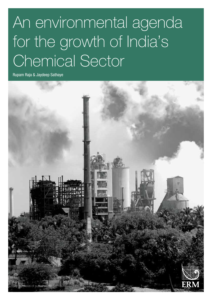# An environmental agenda for the growth of India's Chemical Sector

Rupam Raja & Jaydeep Sathaye

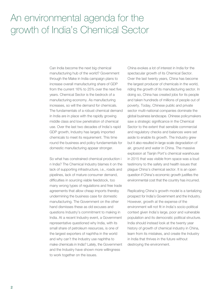# An environmental agenda for the growth of India's Chemical Sector

Can India become the next big chemical manufacturing hub of the world? Government through the Make in India campaign plans to increase overall manufacturing share of GDP from the current 16% to 25% over the next five years. Chemical Sector is the bedrock of a manufacturing economy. As manufacturing increases, so will the demand for chemicals. The fundamentals of a robust chemical demand in India are in place with the rapidly growing middle class and low penetration of chemical use. Over the last two decades of India's rapid GDP growth, Industry has largely imported chemicals to meet its requirement. This time round the business and policy fundamentals for domestic manufacturing appear stronger.

So what has constrained chemical production i n India? The Chemical Industry blames it on the lack of supporting infrastructure, i.e., roads and pipelines, lack of mature consumer demand, difficulties in sourcing viable feedstock, too many wrong types of regulations and free trade agreements that allow cheap imports thereby undermining the business case for domestic manufacturing. The Government on the other hand dismisses these as old excuses and questions Industry's commitment to making in India. At a recent Industry event, a Government representative questioned why India, with its small share of petroleum resources, is one of the largest exporters of naphtha in the world and why can't the Industry use naphtha to make chemicals in India? Lately, the Government and the Industry have shown more willingness to work together on the issues.

China evokes a lot of interest in India for the spectacular growth of its Chemical Sector. Over the last twenty years, China has become the largest producer of chemicals in the world, riding the growth of its manufacturing sector. In doing so, China has created jobs for its people and taken hundreds of millions of people out of poverty. Today, Chinese public and private sector multi-national companies dominate the global business landscape. Chinese policymakers saw a strategic significance in the Chemical Sector to the extent that sensible commercial and regulatory checks and balances were set aside to enable its growth. The Industry grew but it also resulted in large scale degradation of air, ground and water in China. The massive explosion at Tianjin Port's chemical warehouse in 2015 that was visible from space was a loud testimony to the safety and health issues that plague China's chemical sector. It is an open question if China's economic growth justifies the environmental cost that the country has incurred.

Replicating China's growth model is a tantalizing prospect for India's Government and the Industry. However, growth at the expense of the environment will not fit in India's socio-political context given India's large, poor and vulnerable population and its democratic political structure. India should instead look at the twenty year history of growth of chemical industry in China, learn from its mistakes, and create the Industry in India that thrives in the future without destroying the environment.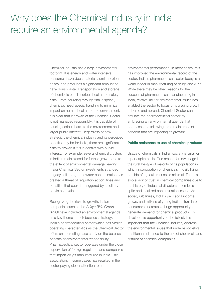# Why does the Chemical Industry in India require an environmental agenda?

Chemical industry has a large environmental footprint. It is energy and water intensive, consumes hazardous materials, emits noxious gases, and produces a significant amount of hazardous waste. Transportation and storage of chemicals entails serious health and safety risks. From sourcing through final disposal, chemicals need special handling to minimize impact on human health and the environment. It is clear that if growth of the Chemical Sector is not managed responsibly, it is capable of causing serious harm to the environment and larger public interest. Regardless of how strategic the chemical industry and its perceived benefits may be for India, there are significant risks to growth if it is in conflict with public interest. For example, several chemical clusters in India remain closed for further growth due to the extent of environmental damage, leaving major Chemical Sector investments stranded. Legacy soil and groundwater contamination has created a threat of regulatory action, fines and penalties that could be triggered by a solitary public complaint.

Recognizing the risks to growth, Indian companies such as the *Aditya Birla Group (ABG)* have included an environmental agenda as a key theme in their business strategy. India's pharmaceutical sector which has similar operating characteristics as the Chemical Sector offers an interesting case study on the business benefits of environmental responsibility. Pharmaceutical sector operates under the close supervision of foreign regulators and companies that import drugs manufactured in India. This association, in some cases has resulted in the sector paying closer attention to its

environmental performance. In most cases, this has improved the environmental record of the sector. India's pharmaceutical sector today is a world leader in manufacturing of drugs and APIs. While there may be other reasons for the success of pharmaceutical manufacturing in India, relative lack of environmental issues has enabled the sector to focus on pursuing growth at home and abroad. Chemical Sector can emulate the pharmaceutical sector by embracing an environmental agenda that addresses the following three main areas of concern that are impeding its growth:

#### **Public resistance to use of chemical products**

Usage of chemicals in Indian society is small on a per capita basis. One reason for low usage is the rural lifestyle of majority of its population in which incorporation of chemicals in daily living, outside of agricultural use, is minimal. There is also a lack of trust in chemical companies due to the history of industrial disasters, chemicals spills and localized contamination issues. As society urbanizes, India's per capita income grows, and millions of young Indians turn into consumers, it creates a huge opportunity to generate demand for chemical products. To develop this opportunity to the fullest, it is important that the Chemical Industry address the environmental issues that underlie society's traditional resistance to the use of chemicals and distrust of chemical companies.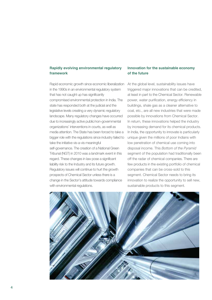#### **Rapidly evolving environmental regulatory framework**

Rapid economic growth since economic liberalization in the 1990s in an environmental regulatory system that has not caught up has significantly compromised environmental protection in India. The state has responded both at the judicial and the legislative levels creating a very dynamic regulatory landscape. Many regulatory changes have occurred due to increasingly active public/non-governmental organizations' interventions in courts, as well as media attention. The State has been forced to take a bigger role with the regulations since industry failed to take the initiative vis-a-vis meaningful self-governance. The creation of a National Green Tribunal (NGT) in 2010 was a landmark event in this regard. These changes in law pose a significant liability risk to the Industry and its future growth. Regulatory issues will continue to hurt the growth prospects of Chemical Sector unless there is a change in the Sector's attitude towards compliance with environmental regulations.

#### **Innovation for the sustainable economy of the future**

At the global level, sustainability issues have triggered major innovations that can be credited, at least in part to the Chemical Sector. Renewable power, water purification, energy efficiency in buildings, shale gas as a cleaner alternative to coal, etc., are all new industries that were made possible by innovations from Chemical Sector. In return, these innovations helped the industry by increasing demand for its chemical products. In India, the opportunity to innovate is particularly unique given the millions of poor Indians with low penetration of chemical use coming into disposal income. This *Bottom of the Pyramid* segment of the population had traditionally been off the radar of chemical companies. There are few products in the existing portfolio of chemical companies that can be cross-sold to this segment. Chemical Sector needs to bring its innovation to realize the opportunity to sell new, sustainable products to this segment.

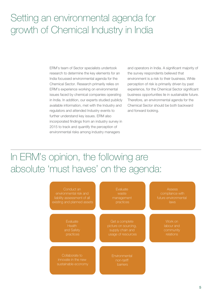# Setting an environmental agenda for growth of Chemical Industry in India

ERM's team of Sector specialists undertook research to determine the key elements for an India focussed environmental agenda for the Chemical Sector. Research primarily relies on ERM's experience working on environmental issues faced by chemical companies operating in India. In addition, our experts studied publicly available information, met with the Industry and regulators and attended Industry events to further understand key issues. ERM also incorporated findings from an industry survey in 2015 to track and quantify the perception of environmental risks among industry managers

and operators in India. A significant majority of the survey respondents believed that environment is a risk to their business. While perception of risk is primarily driven by past experience, for the Chemical Sector significant business opportunities lie in sustainable future. Therefore, an environmental agenda for the Chemical Sector should be both backward and forward looking.

# In ERM's opinion, the following are absolute 'must haves' on the agenda:

| Conduct an                                                   | Evaluate                                | <b>Assess</b>        |
|--------------------------------------------------------------|-----------------------------------------|----------------------|
| environmental risk and                                       | waste                                   | compliance with      |
| liability assessment of all                                  | management                              | future environmental |
| existing and planned assets                                  | practices                               | laws                 |
| Evaluate                                                     | Get a complete                          | Work on              |
| <b>Health</b>                                                | picture on sourcing,                    | labour and           |
| and Safety                                                   | supply chain and                        | community            |
| practices                                                    | usage of resources                      | relations            |
| Collaborate to<br>innovate in the new<br>sustainable economy | Environmental<br>non-tariff<br>barriers |                      |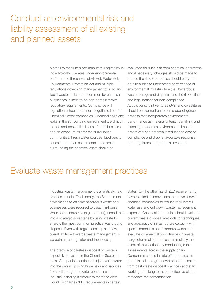### Conduct an environmental risk and liability assessment of all existing and planned assets

A small to medium sized manufacturing facility in India typically operates under environmental performance thresholds of Air Act, Water Act, Environmental Protection Act and multiple regulations governing management of solid and liquid wastes. It is not uncommon for chemical businesses in India to be non-compliant with regulatory requirements. Compliance with regulations should be a non-negotiable item for Chemical Sector companies. Chemical spills and leaks in the surrounding environment are difficult to hide and pose a liability risk for the business and an exposure risk for the surrounding communities. Fresh water sources, biodiversity zones and human settlements in the areas surrounding the chemical asset should be

evaluated for such risk from chemical operations and if necessary, changes should be made to reduce the risk. Companies should carry out on-site audits to understand performance of environmental infrastructure (i.e., hazardous waste storage and disposal) and the risk of fines and legal notices for non-compliance. Acquisitions, joint ventures (JVs) and divestitures should be planned based on a due-diligence process that incorporates environmental performance as material criteria. Identifying and planning to address environmental impacts proactively can potentially reduce the cost of compliance and draw a favourable response from regulators and potential investors.

### Evaluate waste management practices

Industrial waste management is a relatively new practice in India. Traditionally, the State did not have means to off-take hazardous waste and businesses were required to treat it in-house. While some industries (e.g., cement), turned that into a strategic advantage by using waste for energy, the most common practice was ground disposal. Even with regulations in place now, overall attitude towards waste management is lax both at the regulator and the industry.

The practice of careless disposal of waste is especially prevalent in the Chemical Sector in India. Companies continue to inject wastewater into the ground posing huge risks and liabilities from soil and groundwater contamination. Industry is finding it difficult to meet the Zero Liquid Discharge (ZLD) requirements in certain

states. On the other hand, ZLD requirements have resulted in innovations that have allowed chemical companies to reduce their overall water use and cut down waste management expense. Chemical companies should evaluate current waste disposal methods for techniques and adequacy of infrastructure capacity with special emphasis on hazardous waste and evaluate commercial opportunities in waste. Large chemical companies can multiply the effect of their actions by conducting such assessments across the supply chain. Companies should initiate efforts to assess potential soil and groundwater contamination from past waste disposal practices and start working on a long term, cost effective plan to remediate the contamination.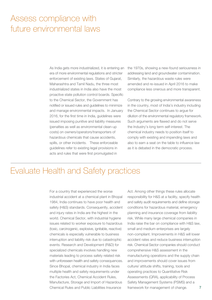### Assess compliance with future environmental laws

As India gets more industrialized, it is entering an era of more environmental regulations and stricter enforcement of existing laws. States of Gujarat, Maharashtra and Tamil Nadu, the three most industrialized states in India also have the most proactive state pollution control boards. Specific to the Chemical Sector, the Government has notified or issued rules and guidelines to minimize and manage environmental impacts. In January 2016, for the first time in India, guidelines were issued imposing punitive and liability measures (penalties as well as environmental clean-up costs) on owners/operators/transporters of hazardous chemicals that cause accidents, spills, or other incidents. These enforceable guidelines refer to existing legal provisions in acts and rules that were first promulgated in

the 1970s, showing a new-found seriousness in addressing land and groundwater contamination. Similarly, the hazardous waste rules were amended and re-issued in April 2016 to make compliance less onerous and more transparent.

Contrary to the growing environmental awareness in the country, most of India's industry including the Chemical Sector continues to argue for dilution of the environmental regulatory framework. Such arguments are flawed and do not serve the Industry's long term self-interest. The chemical industry needs to position itself to comply with existing and impending laws and also to earn a seat on the table to influence law as it is debated in the democratic process.

### Evaluate Health and Safety practices

For a country that experienced the worse industrial accident at a chemical plant in Bhopal 1984, India continues to have poor health and safety (H&S) standards. Consequently, accident and injury rates in India are the highest in the world. Chemical Sector, with industrial hygiene issues related to worker exposure to hazardous (toxic, carcinogenic, explosive, ignitable, reactive) chemicals is especially vulnerable to business interruption and liability risk due to catastrophic events. Research and Development (R&D) for specialized chemicals involves handling new materials leading to process safety related risk with unforeseen health and safety consequences. Since Bhopal, chemical industry in India faces multiple health and safety requirements under the Factories Act, Chemical Accident Rules, Manufacture, Storage and Import of Hazardous

Act. Among other things these rules allocate responsibility for H&S at a facility, specify health and safety audit requirements and define storage conditions for hazardous material, emergency planning and insurance coverage from liability risk. While many large chemical companies in India raise the bar on compliance with H&S law, small and medium enterprises are largely non-compliant. Improvements in H&S will lower accident rates and reduce business interruption risk. Chemical Sector companies should conduct comprehensive H&S assessment in the manufacturing operations and the supply chain and improvements should cover issues from culture/ attitude shifts, training, tools and operating practices to Quantitative Risk Assessments (QRA), applicability of Process Safety Management Systems (PSMS) and a Chemical Rules and Public Liabilities Insurance framework for management of change. 7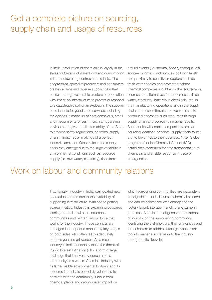### Get a complete picture on sourcing, supply chain and usage of resources

In India, production of chemicals is largely in the states of Gujarat and Maharashtra and consumption is in manufacturing centres across India. The geographical spread of producers and consumers creates a large and diverse supply chain that passes through vulnerable clusters of population with little or no infrastructure to prevent or respond to a catastrophic spill or an explosion. The supplier base in India for goods and services, including for logistics is made up of cost conscious, small and medium enterprises. In such an operating environment, given the limited ability of the State to enforce safety regulations, chemical supply chain in India has all makings of a perfect industrial accident. Other risks in the supply chain may emerge due to the large variability in environmental conditions such as resource supply (i.e. raw water, electricity), risks from

natural events (i.e. storms, floods, earthquakes), socio-economic conditions, air pollution levels and proximity to sensitive receptors such as fresh water bodies and protected habitat. Chemical companies should know the requirements, sources and alternatives for resources such as water, electricity, hazardous chemicals, etc. in the manufacturing operations and in the supply chain and assess threats and weaknesses to continued access to such resources through supply chain and source vulnerability audits. Such audits will enable companies to select sourcing locations, vendors, supply chain routes etc. to lower risk to their business. Nicer Globe program of Indian Chemical Council (ICC) establishes standards for safe transportation of chemicals and enable response in case of emergencies.

### Work on labour and community relations

Traditionally, industry in India was located near population centres due to the availability of supporting infrastructure. With space getting scarce in cities, Industry is expanding outwards leading to conflict with the incumbent communities and migrant labour force that works for the industry. These conflicts are managed in an opaque manner by key people on both sides who often fail to adequately address genuine grievances. As a result, industry in India constantly faces the threat of Public Interest Litigation (PIL), a form of legal challenge that is driven by concerns of a community as a whole. Chemical Industry with its large, visible environmental footprint and its resource intensity is especially vulnerable to conflicts with the community. Odour from chemical plants and groundwater impact on

which surrounding communities are dependent are significant social issues in chemical clusters and can be addressed with changes to the factory layout, storage, handling and sampling practices. A social due diligence on the impact of Industry on the surrounding community, identifying the stakeholders, their grievances and a mechanism to address such grievances are tools to manage social risks to the Industry throughout its lifecycle.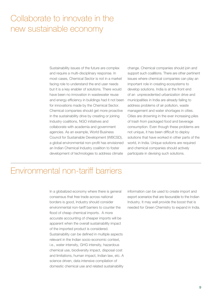### Collaborate to innovate in the new sustainable economy

Sustainability issues of the future are complex and require a multi-disciplinary response. In most cases, Chemical Sector is not in a market facing role to understand the end user needs but it is a key enabler of solutions. There would have been no innovation in wastewater reuse and energy efficiency in buildings had it not been for innovations made by the Chemical Sector. Chemical companies should get more proactive in the sustainability drive by creating or joining Industry coalitions, NGO initiatives and collaborate with academia and government agencies. As an example, World Business Council for Sustainable Development (WBCSD), a global environmental non-profit has envisioned an Indian Chemical Industry coalition to foster development of technologies to address climate

change. Chemical companies should join and support such coalitions. There are other pertinent issues where chemical companies can play an important role in creating ecosystems to develop solutions. India is at the front end of an unprecedented urbanization drive and municipalities in India are already failing to address problems of air pollution, waste management and water shortages in cities. Cities are drowning in the ever increasing piles of trash from packaged food and beverage consumption. Even though these problems are not unique, it has been difficult to deploy solutions that have worked in other parts of the world, in India. Unique solutions are required and chemical companies should actively participate in devising such solutions.

#### Environmental non-tariff barriers

In a globalized economy where there is general consensus that free trade across national borders is good, Industry should consider environmental non-tariff barriers to counter the flood of cheap chemical imports. A more accurate accounting of cheaper imports will be apparent when the overall sustainability impact of the imported product is considered. Sustainability can be defined in multiple aspects relevant in the Indian socio-economic context, i.e., water intensity, GHG intensity, hazardous chemical use, biodiversity impact, disposal cost and limitations, human impact, Indian law, etc. A science driven, data intensive compilation of domestic chemical use and related sustainability

information can be used to create import and export scenarios that are favourable to the Indian Industry. It may well provide the boost that is needed for Green Chemistry to expand in India.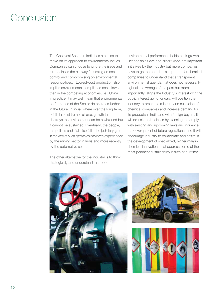## Conclusion

The Chemical Sector in India has a choice to make on its approach to environmental issues. Companies can choose to ignore the issue and run business the old way focussing on cost control and compromising on environmental responsibilities. Lowest-cost production also implies environmental compliance costs lower than in the competing economies, i.e., China. In practice, it may well mean that environmental performance of the Sector deteriorates further in the future. In India, where over the long term, public interest trumps all else, growth that destroys the environment can be envisioned but it cannot be sustained. Eventually, the people, the politics and if all else fails, the judiciary gets in the way of such growth as has been experienced by the mining sector in India and more recently by the automotive sector.

The other alternative for the Industry is to think strategically and understand that poor

environmental performance holds back growth. Responsible Care and Nicer Globe are important initiatives by the Industry but more companies have to get on board. It is important for chemical companies to understand that a transparent environmental agenda that does not necessarily right all the wrongs of the past but more importantly, aligns the Industry's interest with the public interest going forward will position the Industry to break the mistrust and suspicion of chemical companies and increase demand for its products in India and with foreign buyers; it will de-risk the business by planning to comply with existing and upcoming laws and influence the development of future regulations; and it will encourage Industry to collaborate and assist in the development of specialized, higher margin chemical innovations that address some of the most pertinent sustainability issues of our time.





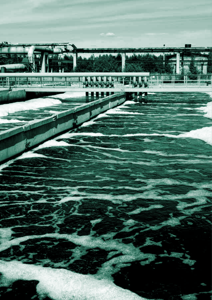